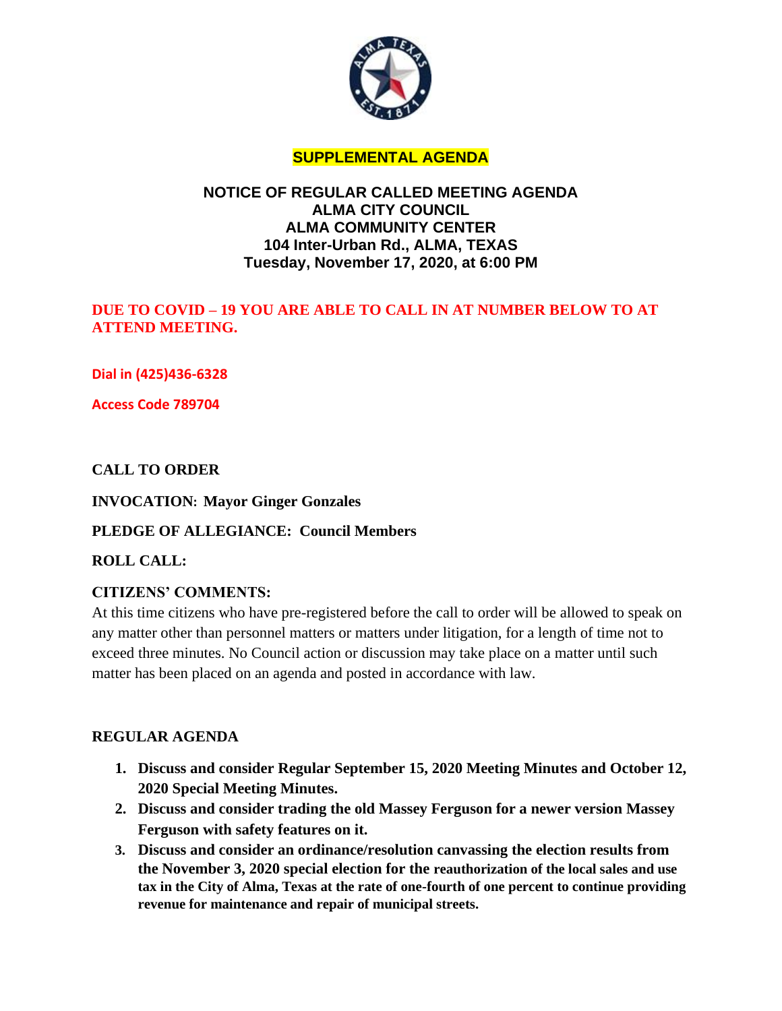

# **SUPPLEMENTAL AGENDA**

## **NOTICE OF REGULAR CALLED MEETING AGENDA ALMA CITY COUNCIL ALMA COMMUNITY CENTER 104 Inter-Urban Rd., ALMA, TEXAS Tuesday, November 17, 2020, at 6:00 PM**

## **DUE TO COVID – 19 YOU ARE ABLE TO CALL IN AT NUMBER BELOW TO AT ATTEND MEETING.**

**Dial in (425)436-6328**

**Access Code 789704**

## **CALL TO ORDER**

### **INVOCATION: Mayor Ginger Gonzales**

### **PLEDGE OF ALLEGIANCE: Council Members**

#### **ROLL CALL:**

#### **CITIZENS' COMMENTS:**

At this time citizens who have pre-registered before the call to order will be allowed to speak on any matter other than personnel matters or matters under litigation, for a length of time not to exceed three minutes. No Council action or discussion may take place on a matter until such matter has been placed on an agenda and posted in accordance with law.

#### **REGULAR AGENDA**

- **1. Discuss and consider Regular September 15, 2020 Meeting Minutes and October 12, 2020 Special Meeting Minutes.**
- **2. Discuss and consider trading the old Massey Ferguson for a newer version Massey Ferguson with safety features on it.**
- **3. Discuss and consider an ordinance/resolution canvassing the election results from the November 3, 2020 special election for the reauthorization of the local sales and use tax in the City of Alma, Texas at the rate of one-fourth of one percent to continue providing revenue for maintenance and repair of municipal streets.**